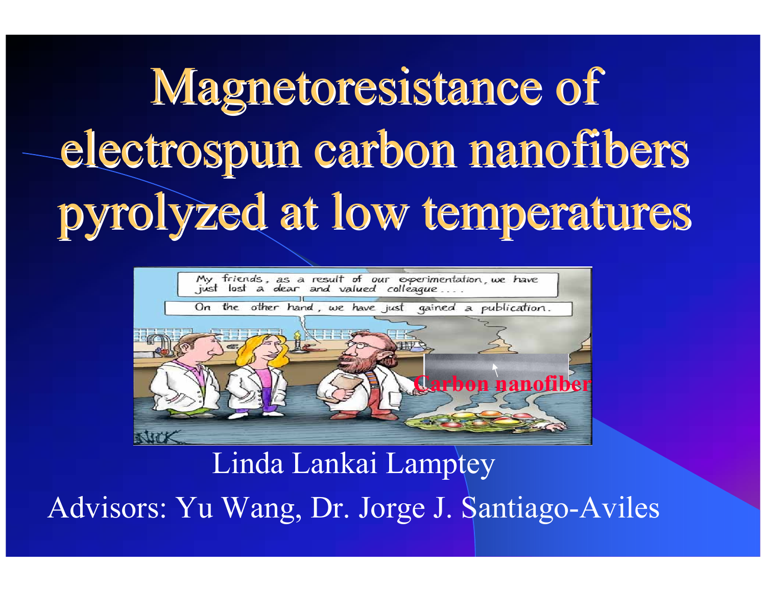Magnetoresistance of electrospun carbon nanofibers pyrolyzed at low temperatures



Linda Lankai Lamptey

Advisors: Yu Wang, Dr. Jorge J. Santiago-Aviles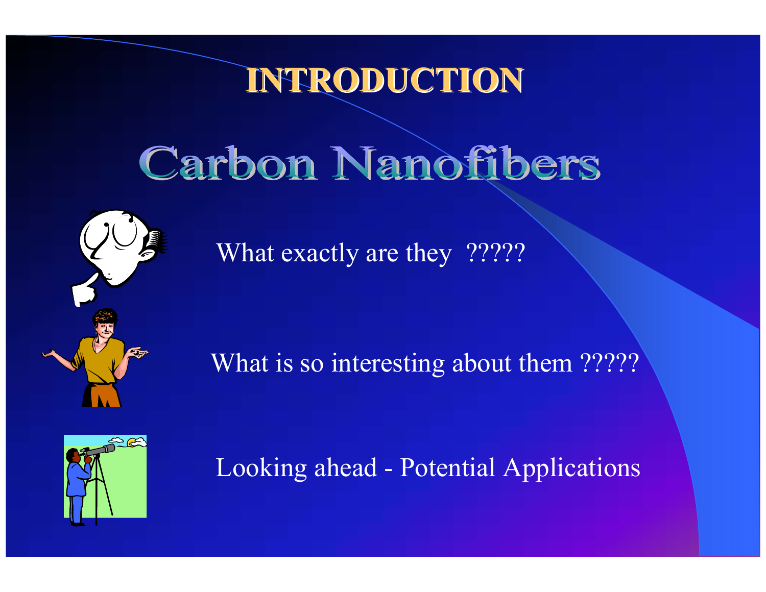#### **INTRODUCTION INTRODUCTION**

# **Carbon Nanofibers**

What exactly are they ?????

What is so interesting about them ?????



Looking ahead - Potential Applications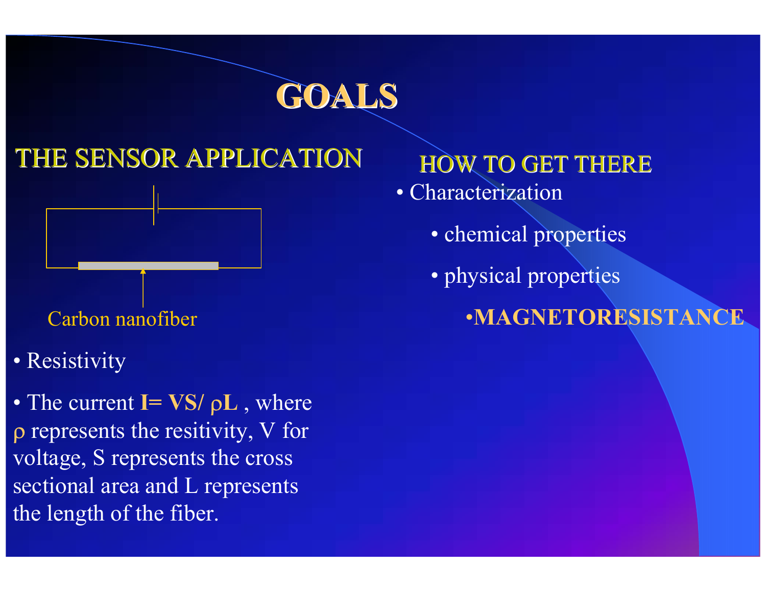

#### HE SENSOR APPLICATION



- Carbon nanofiber
- **Resistivity**
- The current **I= VS/**  ρ **L** , where represents the resitivity, V for ltage, S represents the cross ctional area and L represents e length of the fiber.

#### HOW TO GET THERE

- Characterization
	- chemical properties
	- physical properties
		- •**MAGNETORESISTANC**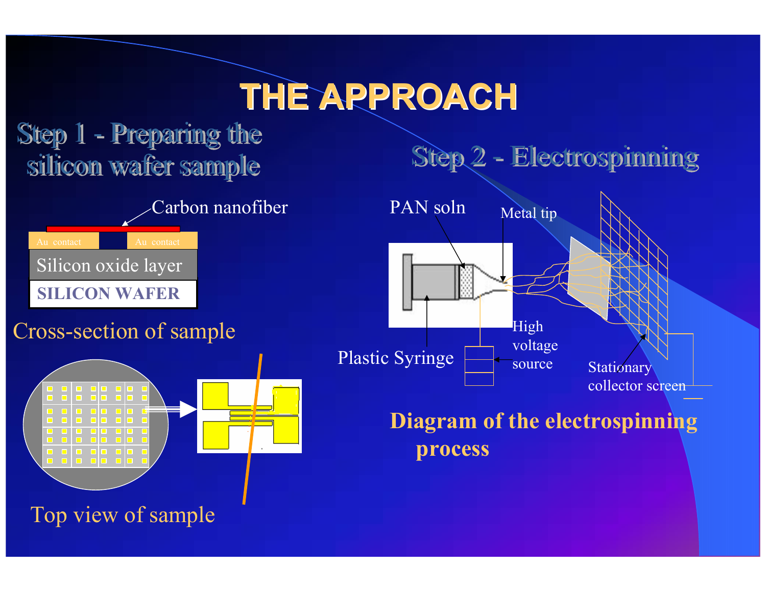### **THE APPROACH THE APPROACH**



Top view of sample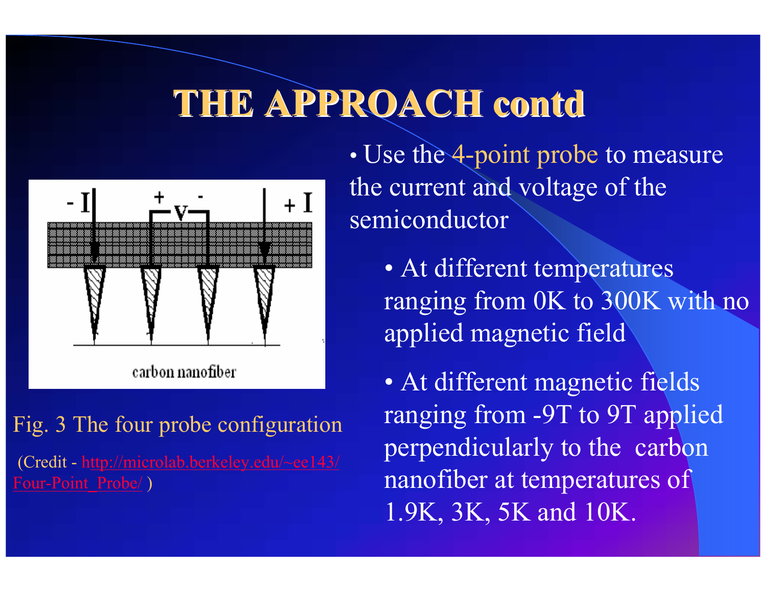### THE APPROACH contd



carbon nanofiber

g. 3 The four probe configuration redit - http://microlab.berkeley.edu/~ee143/ <u>xr-Point\_Probe/</u>)

•• Use the 4-point probe to measure the current and voltage of the semiconductor

• At different temperatures ranging from 0K to 300K with no applied magnetic field

• At different magnetic fields ranging from -9T to 9T applied perpendicularly to the carbon nanofiber at temperatures of 1.9K, 3K, 5K and 10K.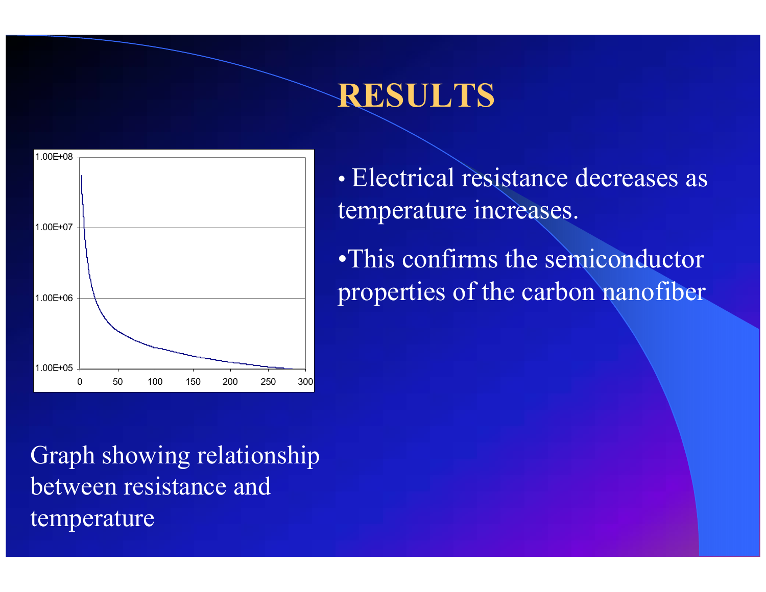#### **RESULTS**



• Electrical resistance decreases as temperature increases.

•This confirms the semiconductor properties of the carbon nanofiber

Graph showing relationship between resistance and temperature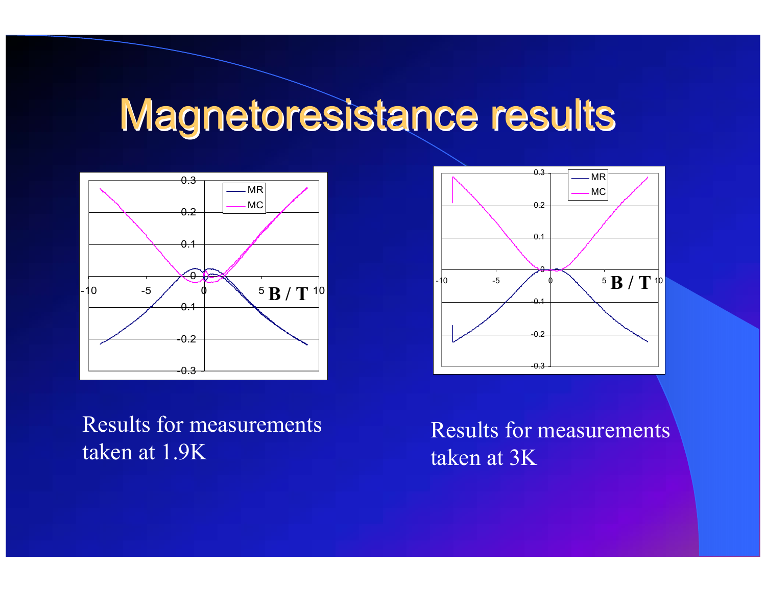### Magnetoresistance results





Results for measurements taken at 1.9K

Results for measurements taken at 3K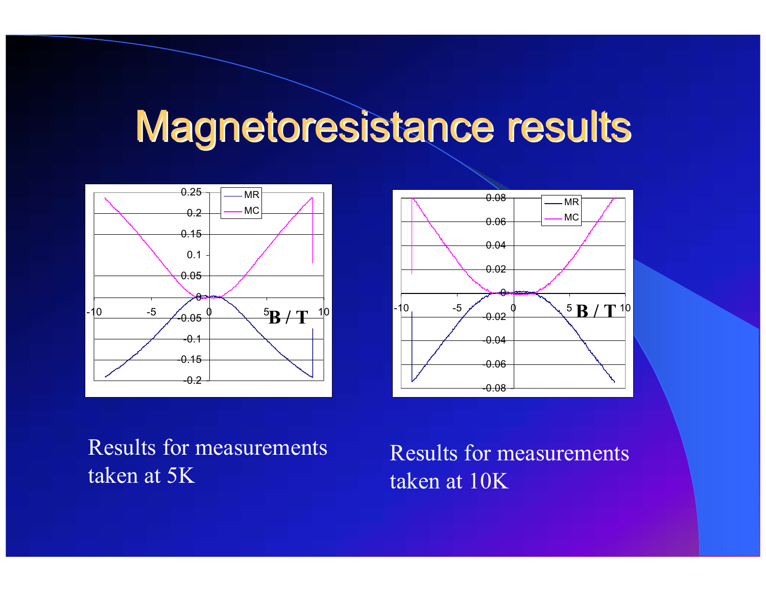### Magnetoresistance results





Results for measurements taken at 5K

Results for measurements taken at 10K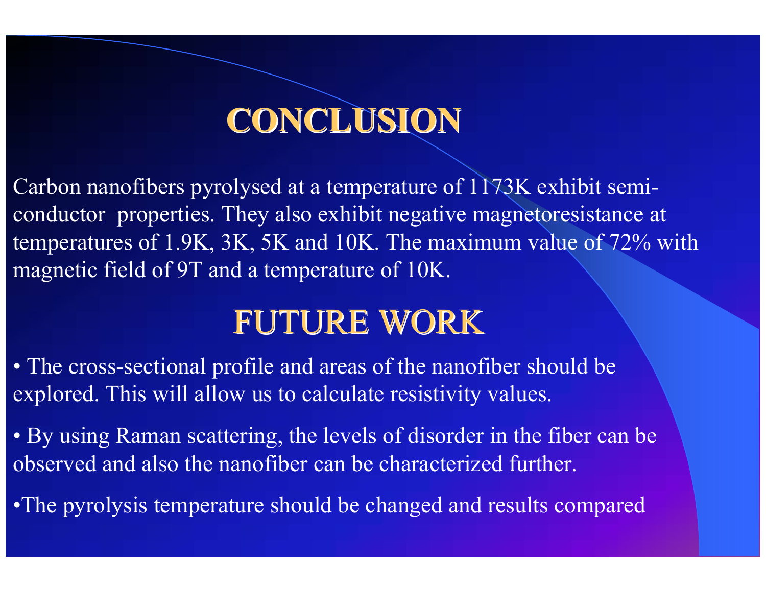### **CONCLUSION CONCLUSION**

arbon nanofibers pyrolysed at a temperature of 1173K exhibit seminductor properties. They also exhibit negative magnetoresistance at mperatures of 1.9K, 3K, 5K and 10K. The maximum value of  $72\%$  with agnetic field of 9T and a temperature of 10K.

#### FUTURE WORK

 The cross-sectional profile and areas of the nanofiber should be plored. This will allow us to calculate resistivity values.

 By using Raman scattering, the levels of disorder in the fiber can be served and also the nanofiber can be characterized further.

he pyrolysis temperature should be changed and results compared